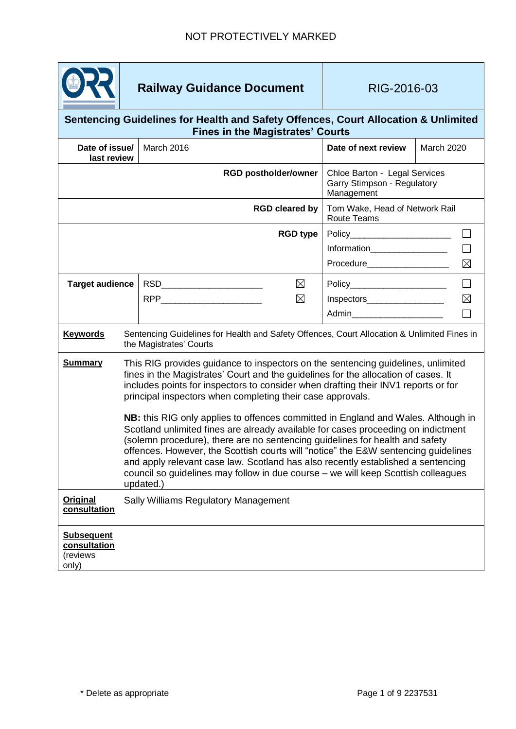

# **Railway Guidance Document** RIG-2016-03

### **Sentencing Guidelines for Health and Safety Offences, Court Allocation & Unlimited Fines in the Magistrates' Courts**

| Date of issue/<br>last review                          |                                                                                                                                                                                                                                                                                                                                                                                                                                                                                                                                                                                                                                                                                                                                                                                                                                                                  | March 2016                    |                                                                            | Date of next review                                  | <b>March 2020</b> |
|--------------------------------------------------------|------------------------------------------------------------------------------------------------------------------------------------------------------------------------------------------------------------------------------------------------------------------------------------------------------------------------------------------------------------------------------------------------------------------------------------------------------------------------------------------------------------------------------------------------------------------------------------------------------------------------------------------------------------------------------------------------------------------------------------------------------------------------------------------------------------------------------------------------------------------|-------------------------------|----------------------------------------------------------------------------|------------------------------------------------------|-------------------|
|                                                        |                                                                                                                                                                                                                                                                                                                                                                                                                                                                                                                                                                                                                                                                                                                                                                                                                                                                  | <b>RGD postholder/owner</b>   | Chloe Barton - Legal Services<br>Garry Stimpson - Regulatory<br>Management |                                                      |                   |
| <b>RGD cleared by</b>                                  |                                                                                                                                                                                                                                                                                                                                                                                                                                                                                                                                                                                                                                                                                                                                                                                                                                                                  |                               |                                                                            | Tom Wake, Head of Network Rail<br><b>Route Teams</b> |                   |
| <b>RGD type</b>                                        |                                                                                                                                                                                                                                                                                                                                                                                                                                                                                                                                                                                                                                                                                                                                                                                                                                                                  |                               | Policy________________________<br>$\mathsf{L}$                             |                                                      |                   |
|                                                        |                                                                                                                                                                                                                                                                                                                                                                                                                                                                                                                                                                                                                                                                                                                                                                                                                                                                  |                               |                                                                            | Information__________________                        |                   |
|                                                        |                                                                                                                                                                                                                                                                                                                                                                                                                                                                                                                                                                                                                                                                                                                                                                                                                                                                  |                               |                                                                            | Procedure___________________                         | $\boxtimes$       |
| <b>Target audience</b>                                 |                                                                                                                                                                                                                                                                                                                                                                                                                                                                                                                                                                                                                                                                                                                                                                                                                                                                  | RSD__________________________ | $\boxtimes$                                                                | Policy________________________                       | $\Box$            |
|                                                        |                                                                                                                                                                                                                                                                                                                                                                                                                                                                                                                                                                                                                                                                                                                                                                                                                                                                  |                               | $\boxtimes$                                                                | Inspectors____________________                       | $\boxtimes$       |
|                                                        |                                                                                                                                                                                                                                                                                                                                                                                                                                                                                                                                                                                                                                                                                                                                                                                                                                                                  |                               |                                                                            | Admin_________________________                       |                   |
| <b>Keywords</b>                                        | Sentencing Guidelines for Health and Safety Offences, Court Allocation & Unlimited Fines in<br>the Magistrates' Courts                                                                                                                                                                                                                                                                                                                                                                                                                                                                                                                                                                                                                                                                                                                                           |                               |                                                                            |                                                      |                   |
| <b>Summary</b>                                         | This RIG provides guidance to inspectors on the sentencing guidelines, unlimited<br>fines in the Magistrates' Court and the guidelines for the allocation of cases. It<br>includes points for inspectors to consider when drafting their INV1 reports or for<br>principal inspectors when completing their case approvals.<br>NB: this RIG only applies to offences committed in England and Wales. Although in<br>Scotland unlimited fines are already available for cases proceeding on indictment<br>(solemn procedure), there are no sentencing guidelines for health and safety<br>offences. However, the Scottish courts will "notice" the E&W sentencing guidelines<br>and apply relevant case law. Scotland has also recently established a sentencing<br>council so guidelines may follow in due course - we will keep Scottish colleagues<br>updated.) |                               |                                                                            |                                                      |                   |
| Original<br>consultation                               | Sally Williams Regulatory Management                                                                                                                                                                                                                                                                                                                                                                                                                                                                                                                                                                                                                                                                                                                                                                                                                             |                               |                                                                            |                                                      |                   |
| <b>Subsequent</b><br>consultation<br>(reviews<br>only) |                                                                                                                                                                                                                                                                                                                                                                                                                                                                                                                                                                                                                                                                                                                                                                                                                                                                  |                               |                                                                            |                                                      |                   |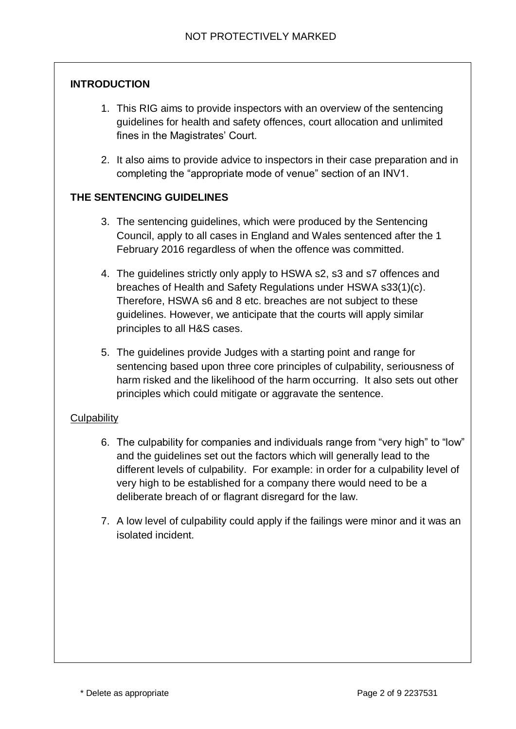### **INTRODUCTION**

- 1. This RIG aims to provide inspectors with an overview of the sentencing guidelines for health and safety offences, court allocation and unlimited fines in the Magistrates' Court.
- 2. It also aims to provide advice to inspectors in their case preparation and in completing the "appropriate mode of venue" section of an INV1.

### **THE SENTENCING GUIDELINES**

- 3. The sentencing guidelines, which were produced by the Sentencing Council, apply to all cases in England and Wales sentenced after the 1 February 2016 regardless of when the offence was committed.
- 4. The guidelines strictly only apply to HSWA s2, s3 and s7 offences and breaches of Health and Safety Regulations under HSWA s33(1)(c). Therefore, HSWA s6 and 8 etc. breaches are not subject to these guidelines. However, we anticipate that the courts will apply similar principles to all H&S cases.
- 5. The guidelines provide Judges with a starting point and range for sentencing based upon three core principles of culpability, seriousness of harm risked and the likelihood of the harm occurring. It also sets out other principles which could mitigate or aggravate the sentence.

### **Culpability**

- 6. The culpability for companies and individuals range from "very high" to "low" and the guidelines set out the factors which will generally lead to the different levels of culpability. For example: in order for a culpability level of very high to be established for a company there would need to be a deliberate breach of or flagrant disregard for the law.
- 7. A low level of culpability could apply if the failings were minor and it was an isolated incident.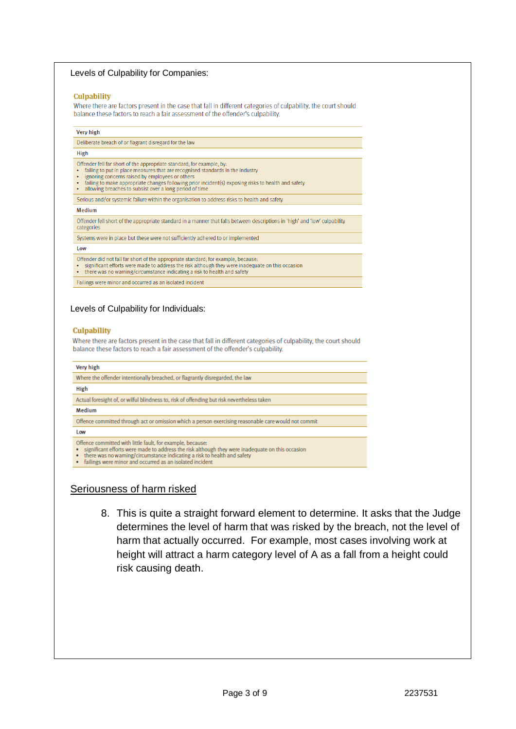### Levels of Culpability for Companies:

#### **Culpability**

Where there are factors present in the case that fall in different categories of culpability, the court should balance these factors to reach a fair assessment of the offender's culpability.

#### Very high

Deliberate breach of or flagrant disregard for the law

#### High

- Offender fell far short of the appropriate standard: for example, by
- failing to put in place measures that are recognised standards in the industry
- ignoring concerns raised by employees or others<br>failing to make appropriate changes following prior incident(s) exposing risks to health and safety
- allowing breaches to subsist over a long period of time

Serious and/or systemic failure within the organisation to address risks to health and safety

#### Medium

Offender fell short of the appropriate standard in a manner that falls between descriptions in 'high' and 'low' culpability categories

Systems were in place but these were not sufficiently adhered to or implemented

#### Low

- 
- Offender did not fall far short of the appropriate standard; for example, because:<br>• significant efforts were made to address the risk although they were inadequate on this occasion
- there was no warning/circumstance indicating a risk to health and safety
- Failings were minor and occurred as an isolated incident

### Levels of Culpability for Individuals:

### **Culpability**

Where there are factors present in the case that fall in different categories of culpability, the court should balance these factors to reach a fair assessment of the offender's culpability.

#### Very high

Where the offender intentionally breached, or flagrantly disregarded, the law High Actual foresight of, or wilful blindness to, risk of offending but risk nevertheless taken Medium

Offence committed through act or omission which a person exercising reasonable care would not commit

#### Low

Offence committed with little fault, for example, because

- significant efforts were made to address the risk although they were inadequate on this occasion
- there was no warning/circumstance indicating a risk to health and safety · failings were minor and occurred as an isolated incident

### Seriousness of harm risked

8. This is quite a straight forward element to determine. It asks that the Judge determines the level of harm that was risked by the breach, not the level of harm that actually occurred. For example, most cases involving work at height will attract a harm category level of A as a fall from a height could risk causing death.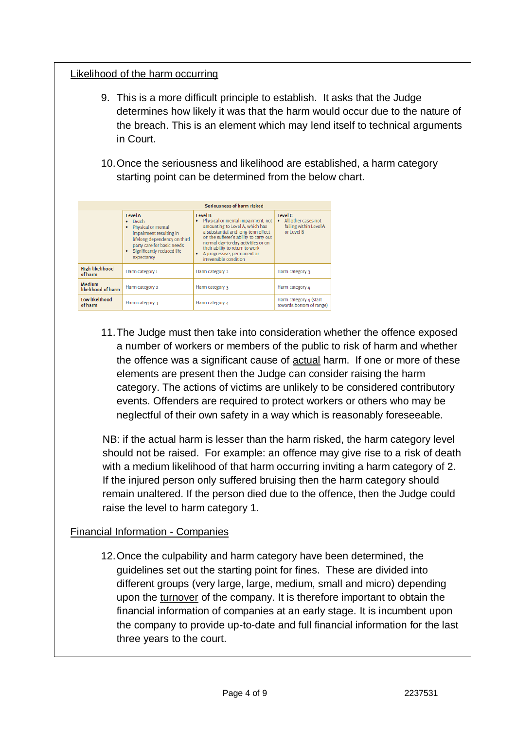### Likelihood of the harm occurring

- 9. This is a more difficult principle to establish. It asks that the Judge determines how likely it was that the harm would occur due to the nature of the breach. This is an element which may lend itself to technical arguments in Court.
- 10.Once the seriousness and likelihood are established, a harm category starting point can be determined from the below chart.

|                                     | Seriousness of harm risked                                                                                                                                                              |                                                                                                                                                                                                                                                                                                    |                                                                          |  |  |
|-------------------------------------|-----------------------------------------------------------------------------------------------------------------------------------------------------------------------------------------|----------------------------------------------------------------------------------------------------------------------------------------------------------------------------------------------------------------------------------------------------------------------------------------------------|--------------------------------------------------------------------------|--|--|
|                                     | <b>Level A</b><br>Death<br>٠<br>Physical or mental<br>impairment resulting in<br>lifelong dependency on third<br>party care for basic needs<br>Significantly reduced life<br>expectancy | Level B<br>Physical or mental impairment, not<br>amounting to Level A, which has<br>a substantial and long-term effect<br>on the sufferer's ability to carry out<br>normal day-to-day activities or on<br>their ability to return to work<br>A progressive, permanent or<br>irreversible condition | Level C<br>• All other cases not<br>falling within Level A<br>or Level B |  |  |
| <b>High likelihood</b><br>of harm   | Harm category 1                                                                                                                                                                         | Harm category 2                                                                                                                                                                                                                                                                                    | Harm category 3                                                          |  |  |
| <b>Medium</b><br>likelihood of harm | Harm category 2                                                                                                                                                                         | Harm category 3                                                                                                                                                                                                                                                                                    | Harm category 4                                                          |  |  |
| Low likelihood<br>of harm           | Harm category 3                                                                                                                                                                         | Harm category 4                                                                                                                                                                                                                                                                                    | Harm category 4 (start<br>towards bottom of range)                       |  |  |

11.The Judge must then take into consideration whether the offence exposed a number of workers or members of the public to risk of harm and whether the offence was a significant cause of actual harm. If one or more of these elements are present then the Judge can consider raising the harm category. The actions of victims are unlikely to be considered contributory events. Offenders are required to protect workers or others who may be neglectful of their own safety in a way which is reasonably foreseeable.

NB: if the actual harm is lesser than the harm risked, the harm category level should not be raised. For example: an offence may give rise to a risk of death with a medium likelihood of that harm occurring inviting a harm category of 2. If the injured person only suffered bruising then the harm category should remain unaltered. If the person died due to the offence, then the Judge could raise the level to harm category 1.

### Financial Information - Companies

12.Once the culpability and harm category have been determined, the guidelines set out the starting point for fines. These are divided into different groups (very large, large, medium, small and micro) depending upon the turnover of the company. It is therefore important to obtain the financial information of companies at an early stage. It is incumbent upon the company to provide up-to-date and full financial information for the last three years to the court.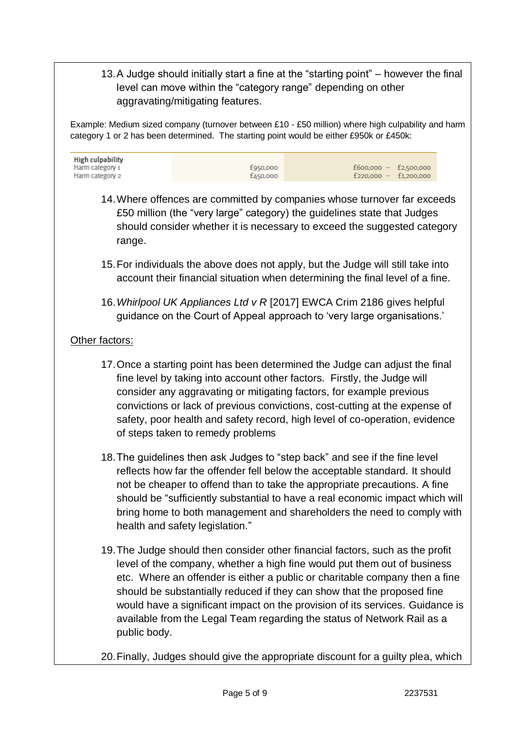13.A Judge should initially start a fine at the "starting point" – however the final level can move within the "category range" depending on other aggravating/mitigating features.

Example: Medium sized company (turnover between £10 - £50 million) where high culpability and harm category 1 or 2 has been determined. The starting point would be either £950k or £450k:

| <b>High culpability</b> |          |                         |
|-------------------------|----------|-------------------------|
| Harm category 1         | £950,000 | $f600,000 - f2,500,000$ |
| Harm category 2         | £450,000 | $f220.000 - f1.200.000$ |

- 14.Where offences are committed by companies whose turnover far exceeds £50 million (the "very large" category) the guidelines state that Judges should consider whether it is necessary to exceed the suggested category range.
- 15.For individuals the above does not apply, but the Judge will still take into account their financial situation when determining the final level of a fine.
- 16.*Whirlpool UK Appliances Ltd v R* [2017] EWCA Crim 2186 gives helpful guidance on the Court of Appeal approach to 'very large organisations.'

## Other factors:

- 17.Once a starting point has been determined the Judge can adjust the final fine level by taking into account other factors. Firstly, the Judge will consider any aggravating or mitigating factors, for example previous convictions or lack of previous convictions, cost-cutting at the expense of safety, poor health and safety record, high level of co-operation, evidence of steps taken to remedy problems
- 18.The guidelines then ask Judges to "step back" and see if the fine level reflects how far the offender fell below the acceptable standard. It should not be cheaper to offend than to take the appropriate precautions. A fine should be "sufficiently substantial to have a real economic impact which will bring home to both management and shareholders the need to comply with health and safety legislation."
- 19.The Judge should then consider other financial factors, such as the profit level of the company, whether a high fine would put them out of business etc. Where an offender is either a public or charitable company then a fine should be substantially reduced if they can show that the proposed fine would have a significant impact on the provision of its services. Guidance is available from the Legal Team regarding the status of Network Rail as a public body.
- 20.Finally, Judges should give the appropriate discount for a guilty plea, which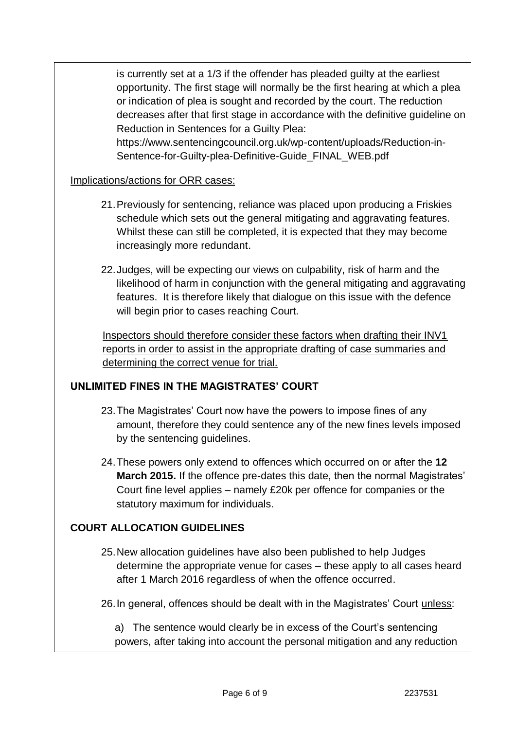is currently set at a 1/3 if the offender has pleaded guilty at the earliest opportunity. The first stage will normally be the first hearing at which a plea or indication of plea is sought and recorded by the court. The reduction decreases after that first stage in accordance with the definitive guideline on Reduction in Sentences for a Guilty Plea:

https://www.sentencingcouncil.org.uk/wp-content/uploads/Reduction-in-Sentence-for-Guilty-plea-Definitive-Guide\_FINAL\_WEB.pdf

### Implications/actions for ORR cases:

- 21.Previously for sentencing, reliance was placed upon producing a Friskies schedule which sets out the general mitigating and aggravating features. Whilst these can still be completed, it is expected that they may become increasingly more redundant.
- 22.Judges, will be expecting our views on culpability, risk of harm and the likelihood of harm in conjunction with the general mitigating and aggravating features. It is therefore likely that dialogue on this issue with the defence will begin prior to cases reaching Court.

Inspectors should therefore consider these factors when drafting their INV1 reports in order to assist in the appropriate drafting of case summaries and determining the correct venue for trial.

### **UNLIMITED FINES IN THE MAGISTRATES' COURT**

- 23.The Magistrates' Court now have the powers to impose fines of any amount, therefore they could sentence any of the new fines levels imposed by the sentencing guidelines.
- 24.These powers only extend to offences which occurred on or after the **12 March 2015.** If the offence pre-dates this date, then the normal Magistrates' Court fine level applies – namely £20k per offence for companies or the statutory maximum for individuals.

### **COURT ALLOCATION GUIDELINES**

- 25.New allocation guidelines have also been published to help Judges determine the appropriate venue for cases – these apply to all cases heard after 1 March 2016 regardless of when the offence occurred.
- 26.In general, offences should be dealt with in the Magistrates' Court unless:

a) The sentence would clearly be in excess of the Court's sentencing powers, after taking into account the personal mitigation and any reduction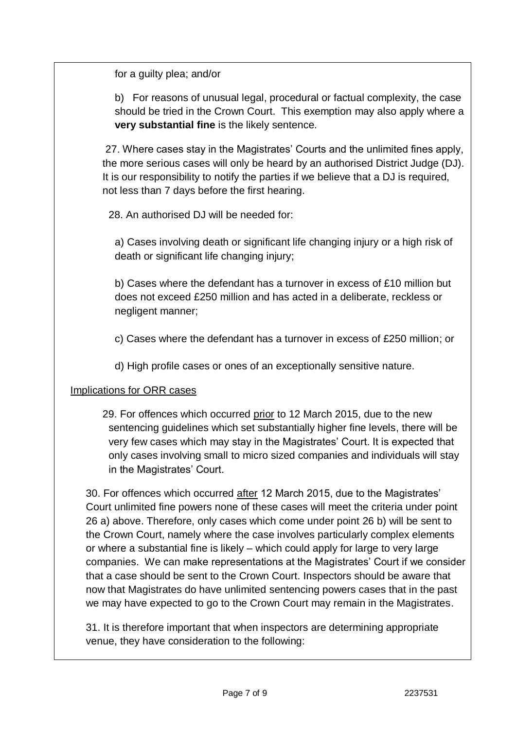for a guilty plea; and/or

b) For reasons of unusual legal, procedural or factual complexity, the case should be tried in the Crown Court. This exemption may also apply where a **very substantial fine** is the likely sentence.

27. Where cases stay in the Magistrates' Courts and the unlimited fines apply, the more serious cases will only be heard by an authorised District Judge (DJ). It is our responsibility to notify the parties if we believe that a DJ is required, not less than 7 days before the first hearing.

28. An authorised DJ will be needed for:

a) Cases involving death or significant life changing injury or a high risk of death or significant life changing injury;

b) Cases where the defendant has a turnover in excess of £10 million but does not exceed £250 million and has acted in a deliberate, reckless or negligent manner;

c) Cases where the defendant has a turnover in excess of £250 million; or

d) High profile cases or ones of an exceptionally sensitive nature.

### Implications for ORR cases

29. For offences which occurred prior to 12 March 2015, due to the new sentencing guidelines which set substantially higher fine levels, there will be very few cases which may stay in the Magistrates' Court. It is expected that only cases involving small to micro sized companies and individuals will stay in the Magistrates' Court.

30. For offences which occurred after 12 March 2015, due to the Magistrates' Court unlimited fine powers none of these cases will meet the criteria under point 26 a) above. Therefore, only cases which come under point 26 b) will be sent to the Crown Court, namely where the case involves particularly complex elements or where a substantial fine is likely – which could apply for large to very large companies. We can make representations at the Magistrates' Court if we consider that a case should be sent to the Crown Court. Inspectors should be aware that now that Magistrates do have unlimited sentencing powers cases that in the past we may have expected to go to the Crown Court may remain in the Magistrates.

31. It is therefore important that when inspectors are determining appropriate venue, they have consideration to the following: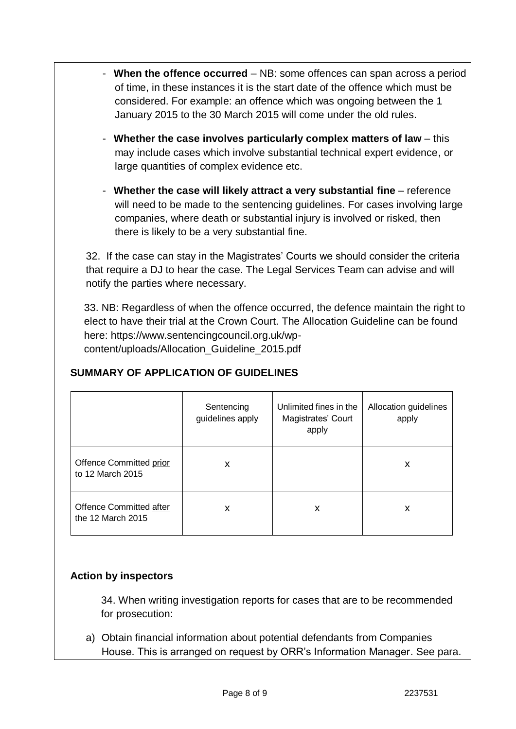- **When the offence occurred** NB: some offences can span across a period of time, in these instances it is the start date of the offence which must be considered. For example: an offence which was ongoing between the 1 January 2015 to the 30 March 2015 will come under the old rules.
- **Whether the case involves particularly complex matters of law** this may include cases which involve substantial technical expert evidence, or large quantities of complex evidence etc.
- **Whether the case will likely attract a very substantial fine** reference will need to be made to the sentencing guidelines. For cases involving large companies, where death or substantial injury is involved or risked, then there is likely to be a very substantial fine.

32. If the case can stay in the Magistrates' Courts we should consider the criteria that require a DJ to hear the case. The Legal Services Team can advise and will notify the parties where necessary.

33. NB: Regardless of when the offence occurred, the defence maintain the right to elect to have their trial at the Crown Court. The Allocation Guideline can be found here: https://www.sentencingcouncil.org.uk/wpcontent/uploads/Allocation\_Guideline\_2015.pdf

|                                                     | Sentencing<br>guidelines apply | Unlimited fines in the<br>Magistrates' Court<br>apply | Allocation guidelines<br>apply |
|-----------------------------------------------------|--------------------------------|-------------------------------------------------------|--------------------------------|
| Offence Committed prior<br>to 12 March 2015         | X                              |                                                       | X                              |
| <b>Offence Committed after</b><br>the 12 March 2015 | X                              | X                                                     | x                              |

# **SUMMARY OF APPLICATION OF GUIDELINES**

# **Action by inspectors**

34. When writing investigation reports for cases that are to be recommended for prosecution:

a) Obtain financial information about potential defendants from Companies House. This is arranged on request by ORR's Information Manager. See para.